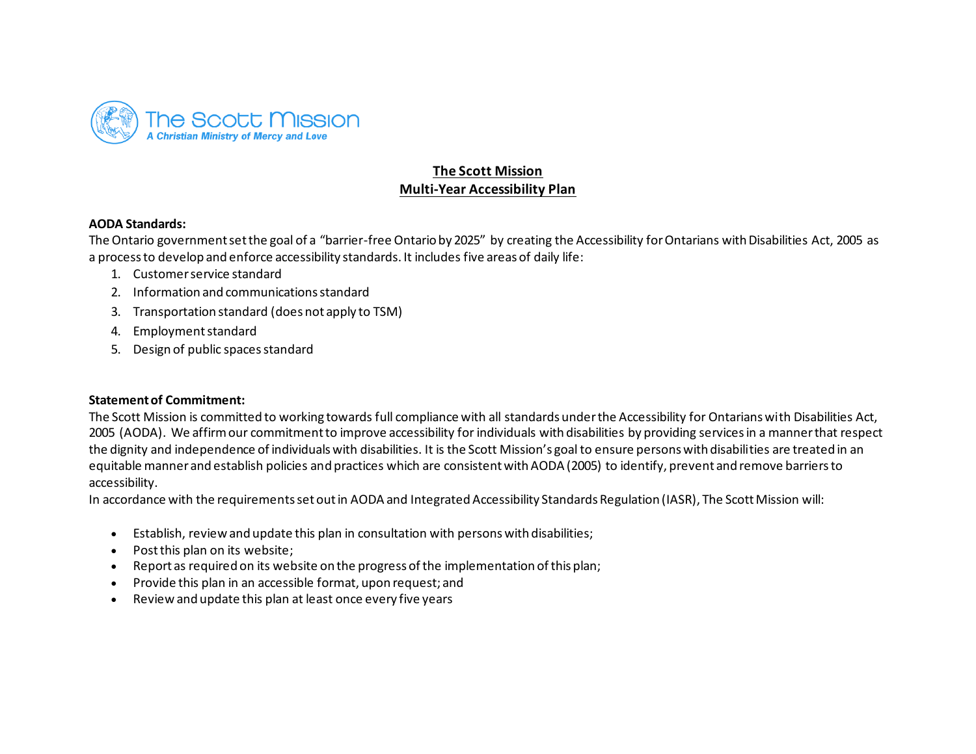

# **The Scott Mission Multi-Year Accessibility Plan**

#### **AODA Standards:**

 The Ontario government set the goal of a "barrier-free Ontario by 2025" by creating the Accessibility for Ontarians with Disabilities Act, 2005 as a process to develop and enforce accessibility standards. It includes five areas of daily life:

- 1. Customer service standard
- 2. Information and communications standard
- 3. Transportation standard (does not apply to TSM)
- 4. Employment standard
- 5. Design of public spaces standard

### **Statement of Commitment:**

 The Scott Mission is committed to working towards full compliance with all standards under the Accessibility for Ontarians with Disabilities Act, 2005 (AODA). We affirm our commitment to improve accessibility for individuals with disabilities by providing services in a manner that respect the dignity and independence of individualswith disabilities. It is the Scott Mission's goal to ensure personswith disabilities are treated in an equitable manner and establish policies and practices which are consistent with AODA (2005) to identify, prevent and remove barriers to accessibility.

In accordance with the requirements set out in AODA and Integrated Accessibility Standards Regulation (IASR), The Scott Mission will:

- Establish, review and update this plan in consultation with persons with disabilities;
- Post this plan on its website;
- Report as required on its website on the progress of the implementation of this plan;
- Provide this plan in an accessible format, upon request; and
- Review and update this plan at least once every five years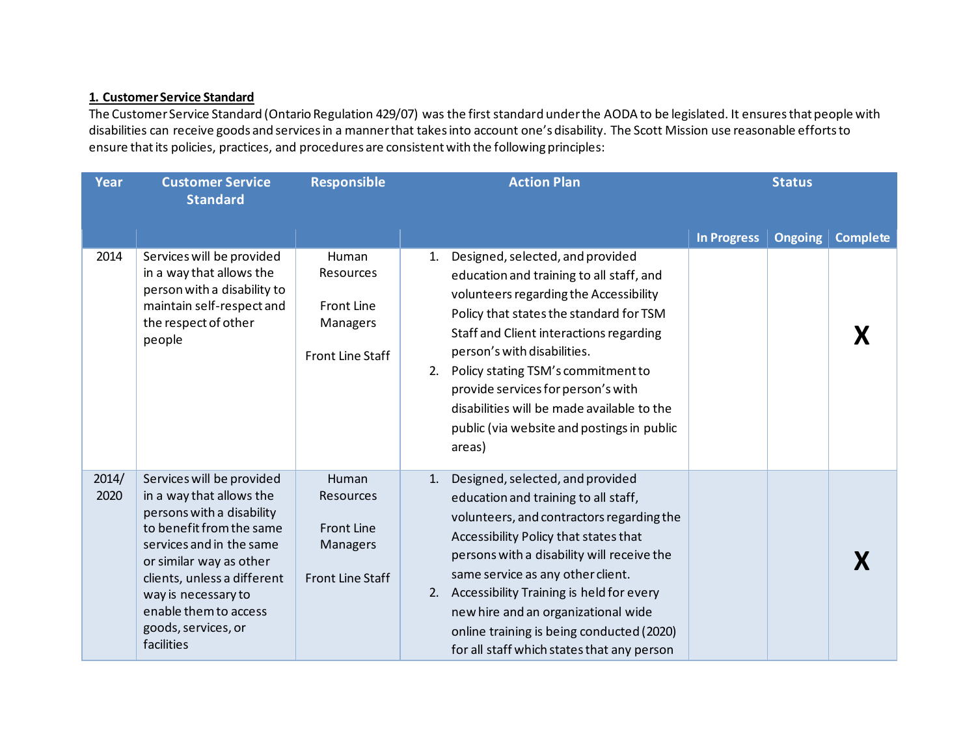# **1. Customer Service Standard**

 The Customer Service Standard (Ontario Regulation 429/07) was the first standard under the AODA to be legislated. It ensures that people with disabilities can receive goods and services in a manner that takes into account one's disability. The Scott Mission use reasonable efforts to ensure that its policies, practices, and procedures are consistent with the following principles:

| <b>Year</b>   | <b>Customer Service</b><br><b>Standard</b>                                                                                                                                                                                                                                                | <b>Responsible</b>                                                                                  | <b>Action Plan</b>                                                                                                                                                                                                                                                                                                                                                                                                                        | <b>Status</b>                                           |  |
|---------------|-------------------------------------------------------------------------------------------------------------------------------------------------------------------------------------------------------------------------------------------------------------------------------------------|-----------------------------------------------------------------------------------------------------|-------------------------------------------------------------------------------------------------------------------------------------------------------------------------------------------------------------------------------------------------------------------------------------------------------------------------------------------------------------------------------------------------------------------------------------------|---------------------------------------------------------|--|
|               |                                                                                                                                                                                                                                                                                           |                                                                                                     |                                                                                                                                                                                                                                                                                                                                                                                                                                           | <b>In Progress</b><br><b>Ongoing</b><br><b>Complete</b> |  |
| 2014          | Services will be provided<br>in a way that allows the<br>person with a disability to<br>maintain self-respect and<br>the respect of other<br>people                                                                                                                                       | Human<br><b>Resources</b><br><b>Front Line</b><br>Managers<br>Front Line Staff                      | Designed, selected, and provided<br>1.<br>education and training to all staff, and<br>volunteers regarding the Accessibility<br>Policy that states the standard for TSM<br>Staff and Client interactions regarding<br>person's with disabilities.<br>Policy stating TSM's commitment to<br>2.<br>provide services for person's with<br>disabilities will be made available to the<br>public (via website and postings in public<br>areas) |                                                         |  |
| 2014/<br>2020 | Services will be provided<br>in a way that allows the<br>persons with a disability<br>to benefit from the same<br>services and in the same<br>or similar way as other<br>clients, unless a different<br>way is necessary to<br>enable them to access<br>goods, services, or<br>facilities | <b>Human</b><br><b>Resources</b><br><b>Front Line</b><br><b>Managers</b><br><b>Front Line Staff</b> | Designed, selected, and provided<br>1.<br>education and training to all staff,<br>volunteers, and contractors regarding the<br>Accessibility Policy that states that<br>persons with a disability will receive the<br>same service as any other client.<br>2. Accessibility Training is held for every<br>new hire and an organizational wide<br>online training is being conducted (2020)<br>for all staff which states that any person  |                                                         |  |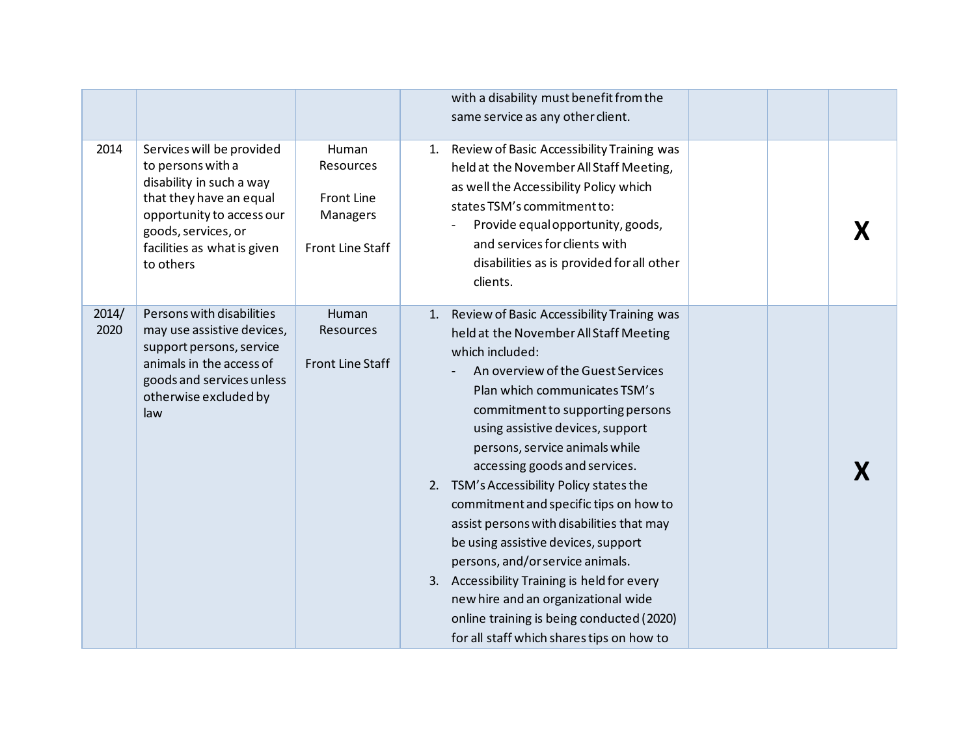|               |                                                                                                                                                                                                       |                                                                         |    | with a disability must benefit from the<br>same service as any other client.                                                                                                                                                                                                                                                                                                                                                                                                                                                                                                                                                                                                                                              |  |  |
|---------------|-------------------------------------------------------------------------------------------------------------------------------------------------------------------------------------------------------|-------------------------------------------------------------------------|----|---------------------------------------------------------------------------------------------------------------------------------------------------------------------------------------------------------------------------------------------------------------------------------------------------------------------------------------------------------------------------------------------------------------------------------------------------------------------------------------------------------------------------------------------------------------------------------------------------------------------------------------------------------------------------------------------------------------------------|--|--|
| 2014          | Services will be provided<br>to persons with a<br>disability in such a way<br>that they have an equal<br>opportunity to access our<br>goods, services, or<br>facilities as what is given<br>to others | Human<br>Resources<br><b>Front Line</b><br>Managers<br>Front Line Staff | 1. | Review of Basic Accessibility Training was<br>held at the November All Staff Meeting,<br>as well the Accessibility Policy which<br>states TSM's commitment to:<br>Provide equal opportunity, goods,<br>and services for clients with<br>disabilities as is provided for all other<br>clients.                                                                                                                                                                                                                                                                                                                                                                                                                             |  |  |
| 2014/<br>2020 | Persons with disabilities<br>may use assistive devices,<br>support persons, service<br>animals in the access of<br>goods and services unless<br>otherwise excluded by<br>law                          | Human<br>Resources<br>Front Line Staff                                  |    | 1. Review of Basic Accessibility Training was<br>held at the November All Staff Meeting<br>which included:<br>An overview of the Guest Services<br>Plan which communicates TSM's<br>commitment to supporting persons<br>using assistive devices, support<br>persons, service animals while<br>accessing goods and services.<br>2. TSM's Accessibility Policy states the<br>commitment and specific tips on how to<br>assist persons with disabilities that may<br>be using assistive devices, support<br>persons, and/or service animals.<br>3. Accessibility Training is held for every<br>new hire and an organizational wide<br>online training is being conducted (2020)<br>for all staff which shares tips on how to |  |  |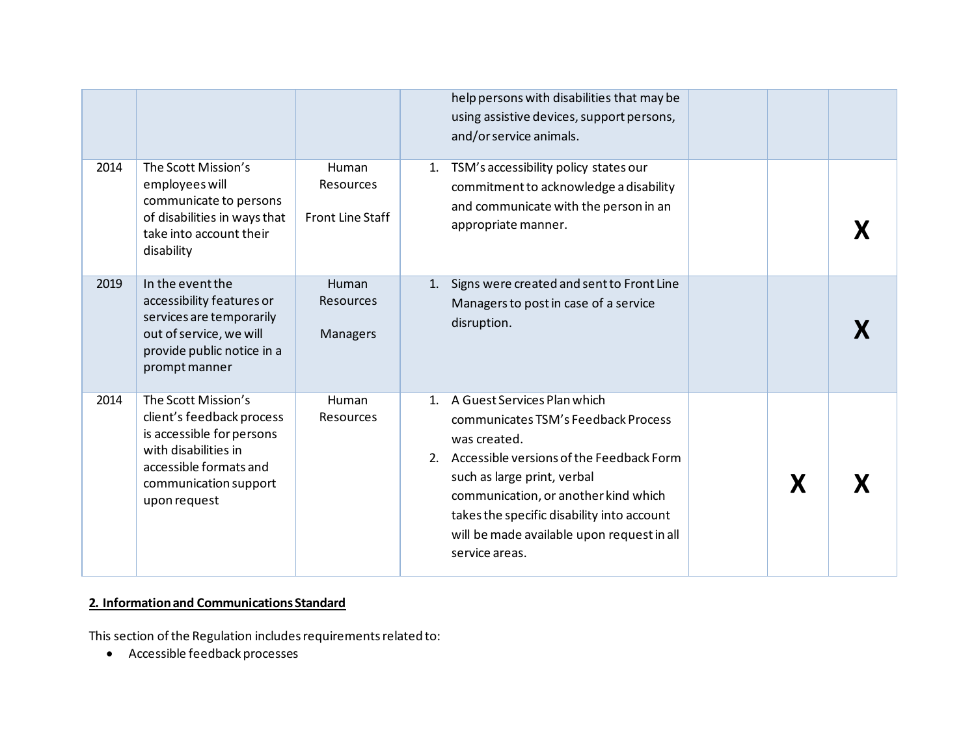|      |                                                                                                                                                                          |                                                      |                      | help persons with disabilities that may be<br>using assistive devices, support persons,<br>and/or service animals.                                                                                                                                                                                                  |   |  |
|------|--------------------------------------------------------------------------------------------------------------------------------------------------------------------------|------------------------------------------------------|----------------------|---------------------------------------------------------------------------------------------------------------------------------------------------------------------------------------------------------------------------------------------------------------------------------------------------------------------|---|--|
| 2014 | The Scott Mission's<br>employees will<br>communicate to persons<br>of disabilities in ways that<br>take into account their<br>disability                                 | Human<br><b>Resources</b><br><b>Front Line Staff</b> | 1.                   | TSM's accessibility policy states our<br>commitment to acknowledge a disability<br>and communicate with the person in an<br>appropriate manner.                                                                                                                                                                     |   |  |
| 2019 | In the event the<br>accessibility features or<br>services are temporarily<br>out of service, we will<br>provide public notice in a<br>prompt manner                      | Human<br><b>Resources</b><br>Managers                |                      | 1. Signs were created and sent to Front Line<br>Managers to post in case of a service<br>disruption.                                                                                                                                                                                                                |   |  |
| 2014 | The Scott Mission's<br>client's feedback process<br>is accessible for persons<br>with disabilities in<br>accessible formats and<br>communication support<br>upon request | Human<br>Resources                                   | $\mathbf{1}$ .<br>2. | A Guest Services Plan which<br>communicates TSM's Feedback Process<br>was created.<br>Accessible versions of the Feedback Form<br>such as large print, verbal<br>communication, or another kind which<br>takes the specific disability into account<br>will be made available upon request in all<br>service areas. | X |  |

## **2. Information and Communications Standard**

This section of the Regulation includes requirements related to:

• Accessible feedback processes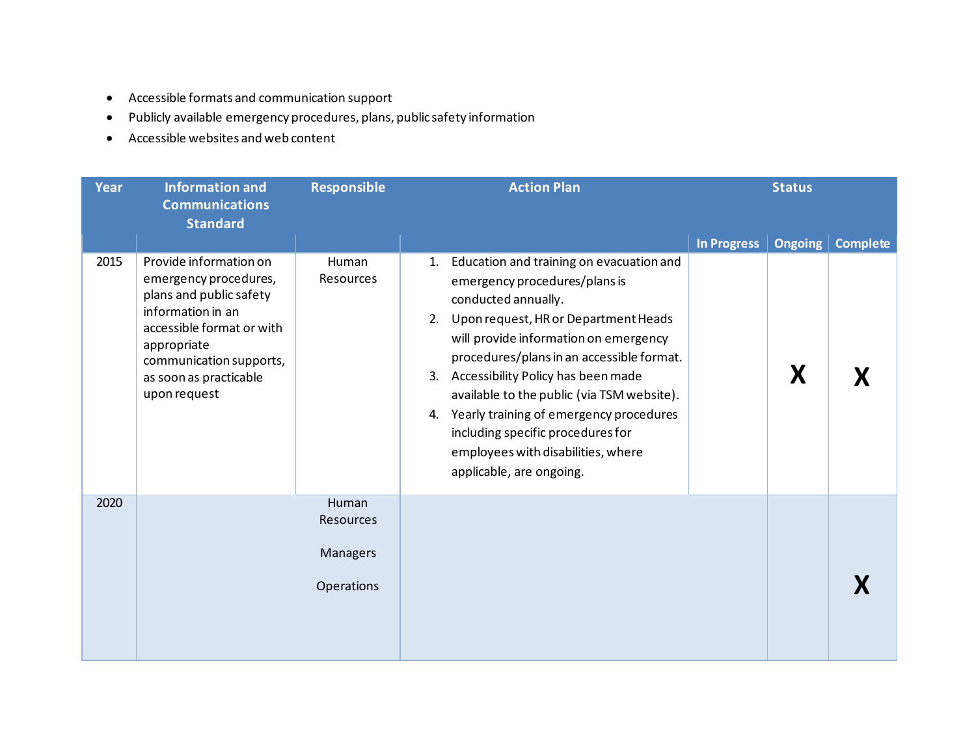- Accessible formats and communication support
- Publicly available emergency procedures, plans, public safety information
- Accessible websites and web content

| <b>Year</b> | <b>Information and</b><br><b>Communications</b>                                                                                                                                                                  | <b>Responsible</b>                                  | <b>Action Plan</b>                                                                                                                                                                                                                                                                                                                                                                                                                                                                           | <b>Status</b>                        |                 |
|-------------|------------------------------------------------------------------------------------------------------------------------------------------------------------------------------------------------------------------|-----------------------------------------------------|----------------------------------------------------------------------------------------------------------------------------------------------------------------------------------------------------------------------------------------------------------------------------------------------------------------------------------------------------------------------------------------------------------------------------------------------------------------------------------------------|--------------------------------------|-----------------|
|             | <b>Standard</b>                                                                                                                                                                                                  |                                                     |                                                                                                                                                                                                                                                                                                                                                                                                                                                                                              | <b>In Progress</b><br><b>Ongoing</b> | <b>Complete</b> |
| 2015        | Provide information on<br>emergency procedures,<br>plans and public safety<br>information in an<br>accessible format or with<br>appropriate<br>communication supports,<br>as soon as practicable<br>upon request | Human<br><b>Resources</b>                           | Education and training on evacuation and<br>1.<br>emergency procedures/plans is<br>conducted annually.<br>Upon request, HR or Department Heads<br>2.<br>will provide information on emergency<br>procedures/plans in an accessible format.<br>Accessibility Policy has been made<br>3.<br>available to the public (via TSM website).<br>Yearly training of emergency procedures<br>4.<br>including specific procedures for<br>employees with disabilities, where<br>applicable, are ongoing. | X                                    |                 |
| 2020        |                                                                                                                                                                                                                  | Human<br>Resources<br><b>Managers</b><br>Operations |                                                                                                                                                                                                                                                                                                                                                                                                                                                                                              |                                      |                 |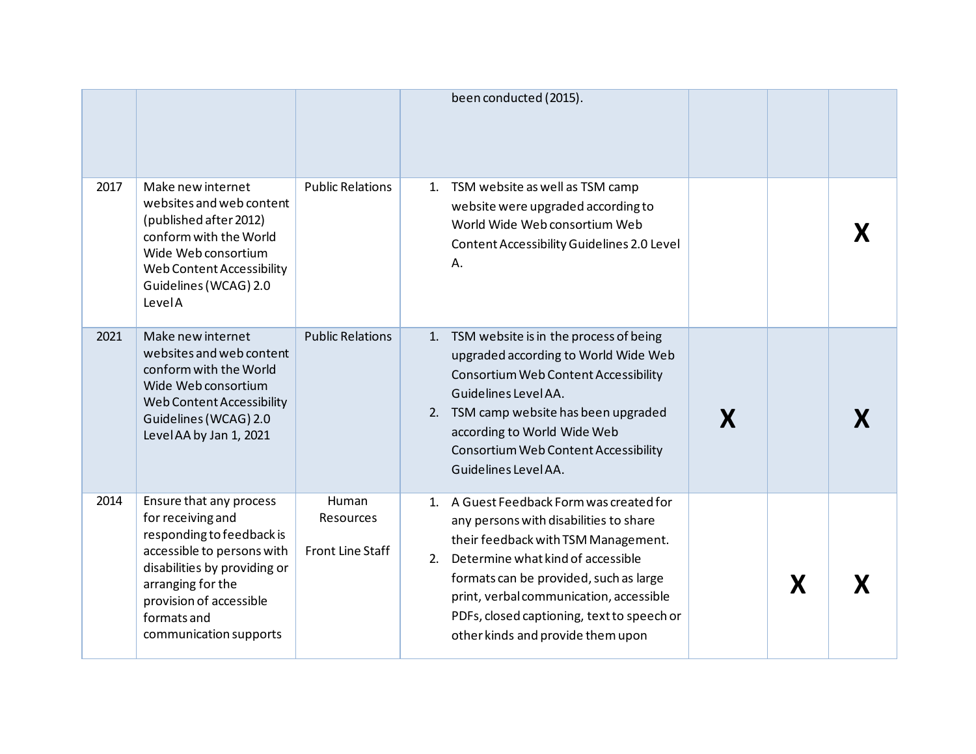|      |                                                                                                                                                                                                                                  |                                                      |    | been conducted (2015).                                                                                                                                                                                                                                                                                                                 |   |  |
|------|----------------------------------------------------------------------------------------------------------------------------------------------------------------------------------------------------------------------------------|------------------------------------------------------|----|----------------------------------------------------------------------------------------------------------------------------------------------------------------------------------------------------------------------------------------------------------------------------------------------------------------------------------------|---|--|
| 2017 | Make new internet<br>websites and web content<br>(published after 2012)<br>conform with the World<br>Wide Web consortium<br>Web Content Accessibility<br>Guidelines (WCAG) 2.0<br>LevelA                                         | <b>Public Relations</b>                              |    | 1. TSM website as well as TSM camp<br>website were upgraded according to<br>World Wide Web consortium Web<br>Content Accessibility Guidelines 2.0 Level<br>Α.                                                                                                                                                                          |   |  |
| 2021 | Make new internet<br>websites and web content<br>conform with the World<br>Wide Web consortium<br>Web Content Accessibility<br>Guidelines (WCAG) 2.0<br>Level AA by Jan 1, 2021                                                  | <b>Public Relations</b>                              | 1. | TSM website is in the process of being<br>upgraded according to World Wide Web<br>Consortium Web Content Accessibility<br>Guidelines Level AA.<br>2. TSM camp website has been upgraded<br>according to World Wide Web<br>Consortium Web Content Accessibility<br>Guidelines Level AA.                                                 |   |  |
| 2014 | Ensure that any process<br>for receiving and<br>responding to feedback is<br>accessible to persons with<br>disabilities by providing or<br>arranging for the<br>provision of accessible<br>formats and<br>communication supports | Human<br><b>Resources</b><br><b>Front Line Staff</b> | 2. | 1. A Guest Feedback Form was created for<br>any persons with disabilities to share<br>their feedback with TSM Management.<br>Determine what kind of accessible<br>formats can be provided, such as large<br>print, verbal communication, accessible<br>PDFs, closed captioning, text to speech or<br>other kinds and provide them upon | X |  |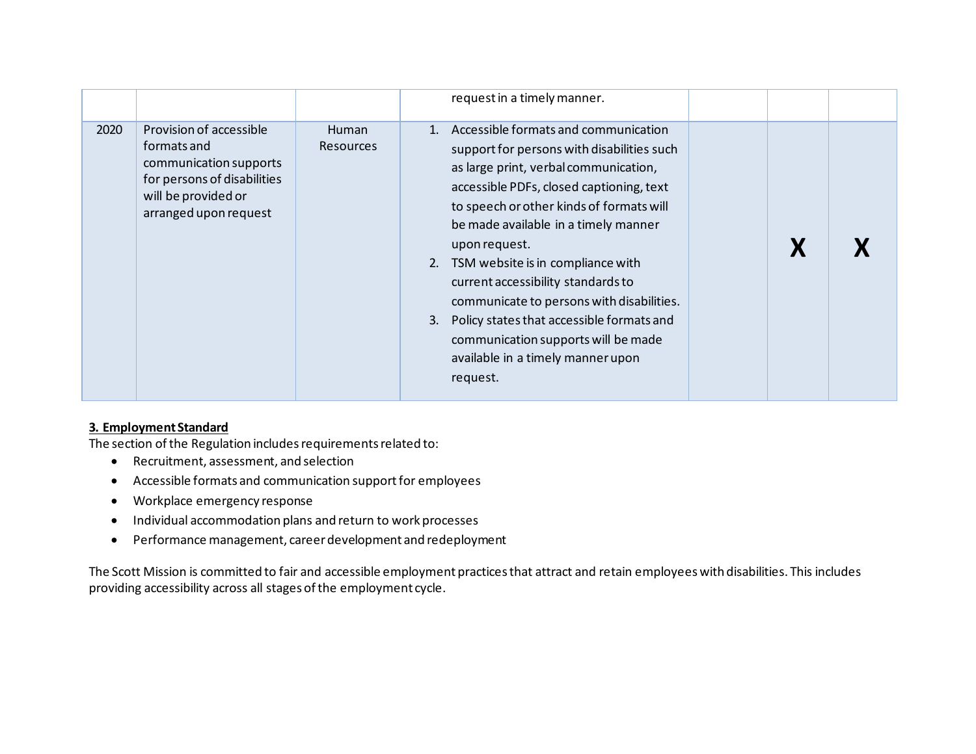|      |                                                                                                                                                 |                                  | request in a timely manner.                                                                                                                                                                                                                                                                                                                                                                                                                                                                                                                        |  |
|------|-------------------------------------------------------------------------------------------------------------------------------------------------|----------------------------------|----------------------------------------------------------------------------------------------------------------------------------------------------------------------------------------------------------------------------------------------------------------------------------------------------------------------------------------------------------------------------------------------------------------------------------------------------------------------------------------------------------------------------------------------------|--|
| 2020 | Provision of accessible<br>formats and<br>communication supports<br>for persons of disabilities<br>will be provided or<br>arranged upon request | <b>Human</b><br><b>Resources</b> | 1. Accessible formats and communication<br>support for persons with disabilities such<br>as large print, verbal communication,<br>accessible PDFs, closed captioning, text<br>to speech or other kinds of formats will<br>be made available in a timely manner<br>upon request.<br>TSM website is in compliance with<br>2.<br>current accessibility standards to<br>communicate to persons with disabilities.<br>Policy states that accessible formats and<br>communication supports will be made<br>available in a timely manner upon<br>request. |  |

# **3. Employment Standard**

The section of the Regulation includes requirements related to:

- Recruitment, assessment, and selection
- Accessible formats and communication support for employees
- Workplace emergency response
- Individual accommodation plans and return to work processes
- Performance management, career development and redeployment

 The Scott Mission is committed to fair and accessible employment practices that attract and retain employees with disabilities. This includes providing accessibility across all stages of the employment cycle.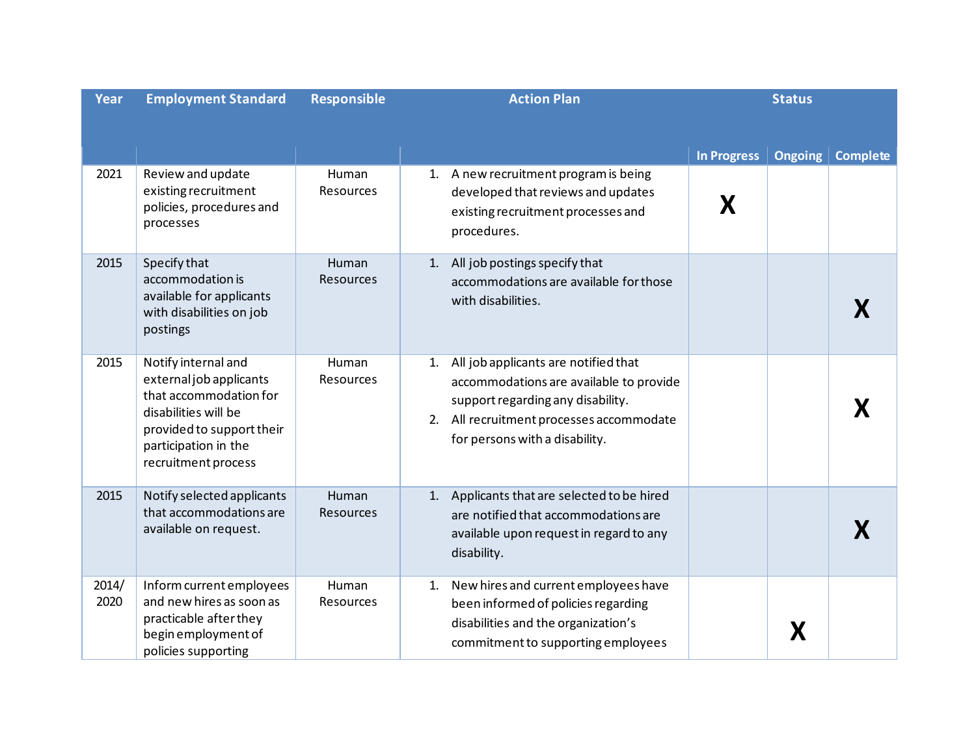| <b>Year</b>   | <b>Employment Standard</b>                                                                                                                                                   | <b>Responsible</b>        |          | <b>Action Plan</b>                                                                                                                                                                              |                         | <b>Status</b>  |                 |
|---------------|------------------------------------------------------------------------------------------------------------------------------------------------------------------------------|---------------------------|----------|-------------------------------------------------------------------------------------------------------------------------------------------------------------------------------------------------|-------------------------|----------------|-----------------|
| 2021          | Review and update<br>existing recruitment<br>policies, procedures and<br>processes                                                                                           | Human<br><b>Resources</b> |          | 1. A new recruitment program is being<br>developed that reviews and updates<br>existing recruitment processes and<br>procedures.                                                                | <b>In Progress</b><br>X | <b>Ongoing</b> | <b>Complete</b> |
| 2015          | Specify that<br>accommodation is<br>available for applicants<br>with disabilities on job<br>postings                                                                         | Human<br>Resources        | 1.       | All job postings specify that<br>accommodations are available for those<br>with disabilities.                                                                                                   |                         |                |                 |
| 2015          | Notify internal and<br>external job applicants<br>that accommodation for<br>disabilities will be<br>provided to support their<br>participation in the<br>recruitment process | Human<br>Resources        | 1.<br>2. | All job applicants are notified that<br>accommodations are available to provide<br>support regarding any disability.<br>All recruitment processes accommodate<br>for persons with a disability. |                         |                |                 |
| 2015          | Notify selected applicants<br>that accommodations are<br>available on request.                                                                                               | Human<br><b>Resources</b> | 1.       | Applicants that are selected to be hired<br>are notified that accommodations are<br>available upon request in regard to any<br>disability.                                                      |                         |                |                 |
| 2014/<br>2020 | Inform current employees<br>and new hires as soon as<br>practicable after they<br>begin employment of<br>policies supporting                                                 | Human<br>Resources        | 1.       | New hires and current employees have<br>been informed of policies regarding<br>disabilities and the organization's<br>commitment to supporting employees                                        |                         |                |                 |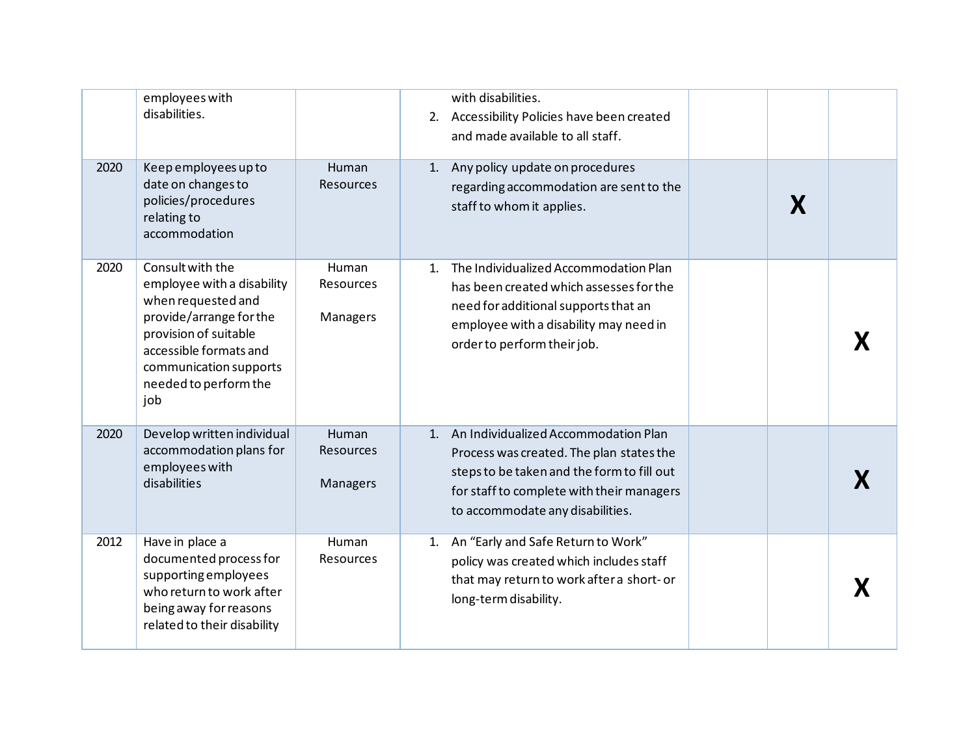|      | employees with<br>disabilities.                                                                                                                                                                              |                                | with disabilities.<br>2. Accessibility Policies have been created<br>and made available to all staff.                                                                                                              |  |
|------|--------------------------------------------------------------------------------------------------------------------------------------------------------------------------------------------------------------|--------------------------------|--------------------------------------------------------------------------------------------------------------------------------------------------------------------------------------------------------------------|--|
| 2020 | Keep employees up to<br>date on changes to<br>policies/procedures<br>relating to<br>accommodation                                                                                                            | Human<br>Resources             | 1. Any policy update on procedures<br>regarding accommodation are sent to the<br>X<br>staff to whom it applies.                                                                                                    |  |
| 2020 | Consult with the<br>employee with a disability<br>when requested and<br>provide/arrange for the<br>provision of suitable<br>accessible formats and<br>communication supports<br>needed to perform the<br>job | Human<br>Resources<br>Managers | The Individualized Accommodation Plan<br>$1_{\cdot}$<br>has been created which assesses for the<br>need for additional supports that an<br>employee with a disability may need in<br>order to perform their job.   |  |
| 2020 | Develop written individual<br>accommodation plans for<br>employees with<br>disabilities                                                                                                                      | Human<br>Resources<br>Managers | 1. An Individualized Accommodation Plan<br>Process was created. The plan states the<br>steps to be taken and the form to fill out<br>for staff to complete with their managers<br>to accommodate any disabilities. |  |
| 2012 | Have in place a<br>documented process for<br>supporting employees<br>who return to work after<br>being away for reasons<br>related to their disability                                                       | Human<br>Resources             | 1. An "Early and Safe Return to Work"<br>policy was created which includes staff<br>that may return to work after a short- or<br>long-term disability.                                                             |  |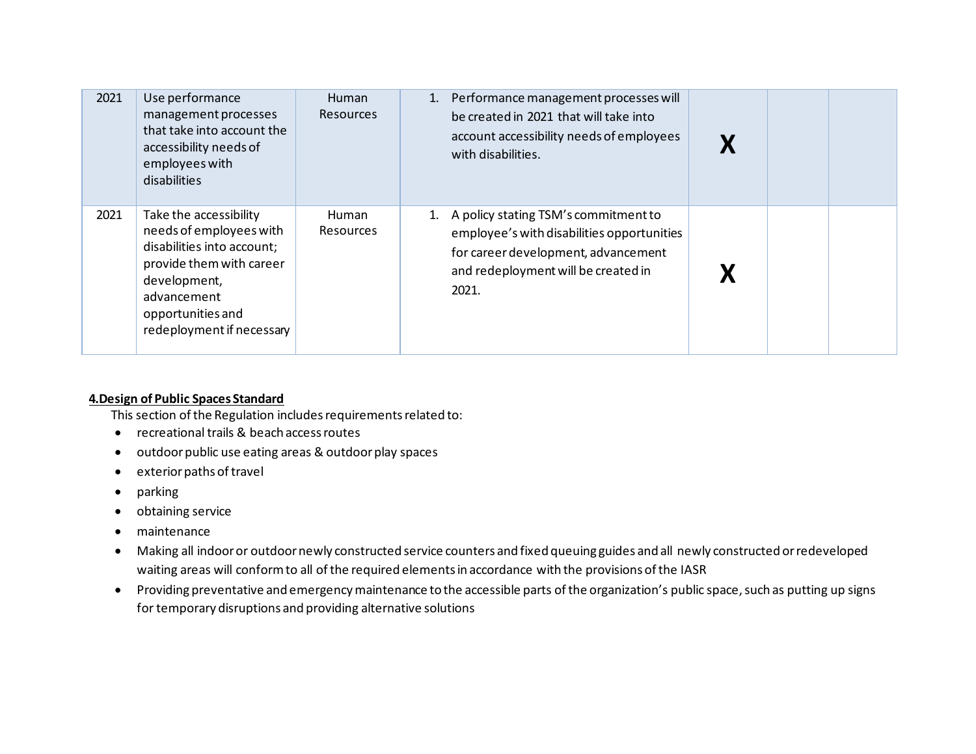| 2021 | Use performance<br>management processes<br>that take into account the<br>accessibility needs of<br>employees with<br>disabilities                                                            | <b>Human</b><br><b>Resources</b> | 1. Performance management processes will<br>be created in 2021 that will take into<br>account accessibility needs of employees<br>with disabilities.                         |  |  |
|------|----------------------------------------------------------------------------------------------------------------------------------------------------------------------------------------------|----------------------------------|------------------------------------------------------------------------------------------------------------------------------------------------------------------------------|--|--|
| 2021 | Take the accessibility<br>needs of employees with<br>disabilities into account;<br>provide them with career<br>development,<br>advancement<br>opportunities and<br>redeployment if necessary | Human<br><b>Resources</b>        | 1. A policy stating TSM's commitment to<br>employee's with disabilities opportunities<br>for career development, advancement<br>and redeployment will be created in<br>2021. |  |  |

#### **4.Design of Public Spaces Standard**

This section of the Regulation includes requirements related to:

- recreational trails & beach access routes
- outdoor public use eating areas & outdoor play spaces
- exterior paths of travel
- parking
- obtaining service
- maintenance
- • Making all indoor or outdoor newly constructed service counters and fixed queuing guides and all newly constructed or redeveloped waiting areas will conform to all of the required elements in accordance with the provisions of the IASR
- Providing preventative and emergency maintenance to the accessible parts of the organization's public space, such as putting up signs for temporary disruptions and providing alternative solutions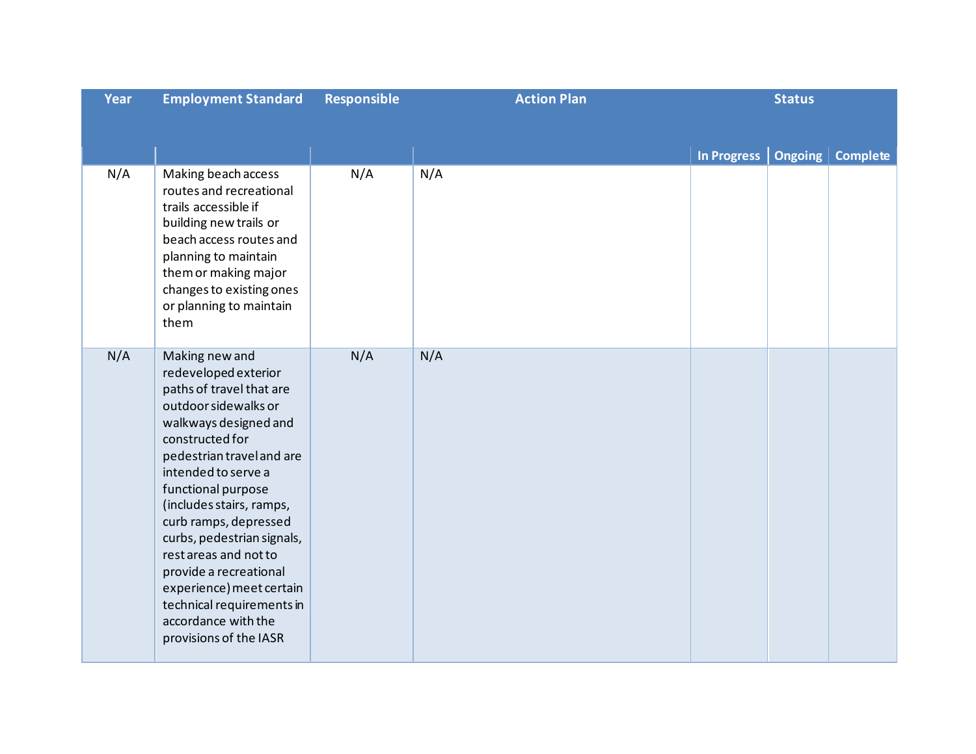| Year | <b>Employment Standard</b>                                                                                                                                                                                                                                                                                                                                                                                                                                       | <b>Responsible</b> | <b>Action Plan</b> |                    | <b>Status</b>  |                 |
|------|------------------------------------------------------------------------------------------------------------------------------------------------------------------------------------------------------------------------------------------------------------------------------------------------------------------------------------------------------------------------------------------------------------------------------------------------------------------|--------------------|--------------------|--------------------|----------------|-----------------|
|      |                                                                                                                                                                                                                                                                                                                                                                                                                                                                  |                    |                    |                    |                |                 |
|      |                                                                                                                                                                                                                                                                                                                                                                                                                                                                  |                    |                    | <b>In Progress</b> | <b>Ongoing</b> | <b>Complete</b> |
| N/A  | Making beach access<br>routes and recreational<br>trails accessible if<br>building new trails or<br>beach access routes and<br>planning to maintain<br>them or making major<br>changes to existing ones<br>or planning to maintain<br>them                                                                                                                                                                                                                       | N/A                | N/A                |                    |                |                 |
| N/A  | Making new and<br>redeveloped exterior<br>paths of travel that are<br>outdoor sidewalks or<br>walkways designed and<br>constructed for<br>pedestrian travel and are<br>intended to serve a<br>functional purpose<br>(includes stairs, ramps,<br>curb ramps, depressed<br>curbs, pedestrian signals,<br>rest areas and not to<br>provide a recreational<br>experience) meet certain<br>technical requirements in<br>accordance with the<br>provisions of the IASR | N/A                | N/A                |                    |                |                 |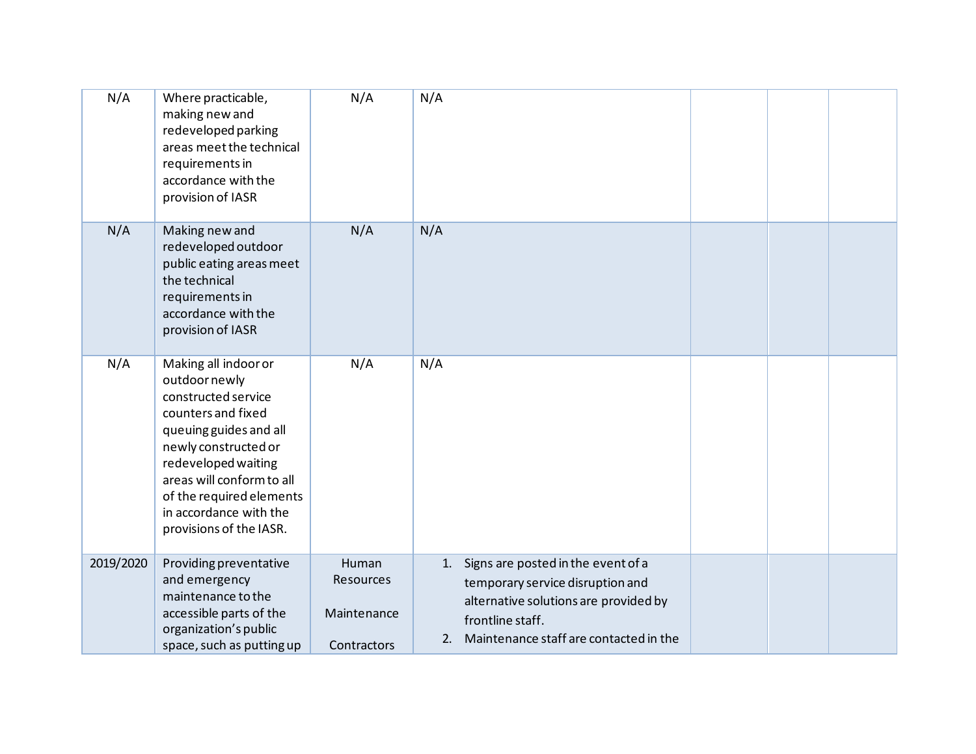| N/A       | Where practicable,<br>making new and<br>redeveloped parking<br>areas meet the technical<br>requirements in<br>accordance with the<br>provision of IASR                                                                                                                    | N/A                                              | N/A                                                                                                                                                                                    |  |  |
|-----------|---------------------------------------------------------------------------------------------------------------------------------------------------------------------------------------------------------------------------------------------------------------------------|--------------------------------------------------|----------------------------------------------------------------------------------------------------------------------------------------------------------------------------------------|--|--|
| N/A       | Making new and<br>redeveloped outdoor<br>public eating areas meet<br>the technical<br>requirements in<br>accordance with the<br>provision of IASR                                                                                                                         | N/A                                              | N/A                                                                                                                                                                                    |  |  |
| N/A       | Making all indoor or<br>outdoor newly<br>constructed service<br>counters and fixed<br>queuing guides and all<br>newly constructed or<br>redeveloped waiting<br>areas will conform to all<br>of the required elements<br>in accordance with the<br>provisions of the IASR. | N/A                                              | N/A                                                                                                                                                                                    |  |  |
| 2019/2020 | Providing preventative<br>and emergency<br>maintenance to the<br>accessible parts of the<br>organization's public<br>space, such as putting up                                                                                                                            | Human<br>Resources<br>Maintenance<br>Contractors | Signs are posted in the event of a<br>1.<br>temporary service disruption and<br>alternative solutions are provided by<br>frontline staff.<br>2. Maintenance staff are contacted in the |  |  |